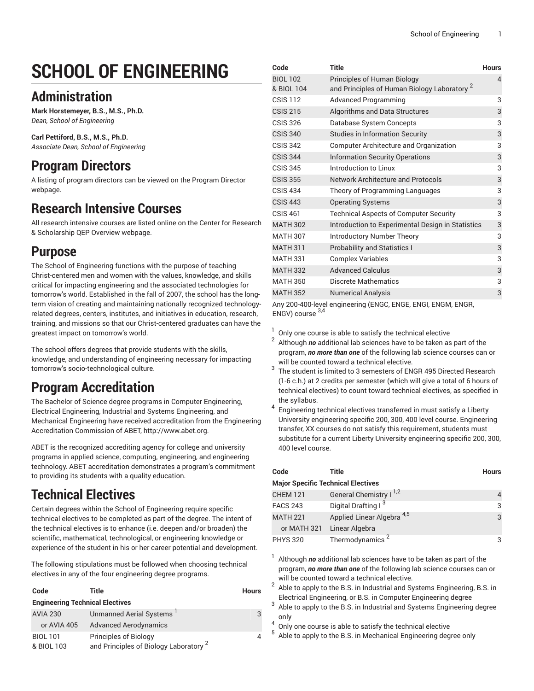# **SCHOOL OF ENGINEERING**

## **Administration**

**Mark Horstemeyer, B.S., M.S., Ph.D.** *Dean, School of Engineering*

**Carl Pettiford, B.S., M.S., Ph.D.** *Associate Dean, School of Engineering*

## **Program Directors**

A listing of program directors can be viewed on the [Program](https://www.liberty.edu/institutional-effectiveness/academic-program-directors/) Director webpage.

### **Research Intensive Courses**

All research intensive courses are listed online on the Center for Research & Scholarship QEP [Overview](https://www.liberty.edu/center-for-research-scholarship/qep-overview/) webpage.

#### **Purpose**

The School of Engineering functions with the purpose of teaching Christ-centered men and women with the values, knowledge, and skills critical for impacting engineering and the associated technologies for tomorrow's world. Established in the fall of 2007, the school has the longterm vision of creating and maintaining nationally recognized technologyrelated degrees, centers, institutes, and initiatives in education, research, training, and missions so that our Christ-centered graduates can have the greatest impact on tomorrow's world.

The school offers degrees that provide students with the skills, knowledge, and understanding of engineering necessary for impacting tomorrow's socio-technological culture.

## **Program Accreditation**

The Bachelor of Science degree programs in Computer Engineering, Electrical Engineering, Industrial and Systems Engineering, and Mechanical Engineering have received accreditation from the Engineering Accreditation Commission of ABET, [http://www.abet.org.](http://www.abet.org)

ABET is the recognized accrediting agency for college and university programs in applied science, computing, engineering, and engineering technology. ABET accreditation demonstrates a program's commitment to providing its students with a quality education.

## **Technical Electives**

Certain degrees within the School of Engineering require specific technical electives to be completed as part of the degree. The intent of the technical electives is to enhance (i.e. deepen and/or broaden) the scientific, mathematical, technological, or engineering knowledge or experience of the student in his or her career potential and development.

The following stipulations must be followed when choosing technical electives in any of the four engineering degree programs.

| Code                                   | Title                                                                      | <b>Hours</b> |  |
|----------------------------------------|----------------------------------------------------------------------------|--------------|--|
| <b>Engineering Technical Electives</b> |                                                                            |              |  |
| <b>AVIA 230</b>                        | Unmanned Aerial Systems                                                    | 3            |  |
| or AVIA 405                            | <b>Advanced Aerodynamics</b>                                               |              |  |
| <b>BIOL 101</b><br>& BIOL 103          | Principles of Biology<br>and Principles of Biology Laboratory <sup>2</sup> |              |  |

| Code                                                         | <b>Title</b>                                                                           | <b>Hours</b> |  |  |
|--------------------------------------------------------------|----------------------------------------------------------------------------------------|--------------|--|--|
| <b>BIOL 102</b><br>& BIOL 104                                | Principles of Human Biology<br>and Principles of Human Biology Laboratory <sup>2</sup> | 4            |  |  |
| <b>CSIS 112</b>                                              | <b>Advanced Programming</b>                                                            | 3            |  |  |
| <b>CSIS 215</b>                                              | Algorithms and Data Structures                                                         | 3            |  |  |
| <b>CSIS 326</b>                                              | Database System Concepts                                                               | 3            |  |  |
| <b>CSIS 340</b>                                              | <b>Studies in Information Security</b>                                                 | 3            |  |  |
| <b>CSIS 342</b>                                              | Computer Architecture and Organization                                                 | 3            |  |  |
| <b>CSIS 344</b>                                              | <b>Information Security Operations</b>                                                 | 3            |  |  |
| <b>CSIS 345</b>                                              | Introduction to Linux                                                                  | 3            |  |  |
| <b>CSIS 355</b>                                              | <b>Network Architecture and Protocols</b>                                              | 3            |  |  |
| <b>CSIS 434</b>                                              | Theory of Programming Languages                                                        | 3            |  |  |
| <b>CSIS 443</b>                                              | <b>Operating Systems</b>                                                               | 3            |  |  |
| <b>CSIS 461</b>                                              | <b>Technical Aspects of Computer Security</b>                                          | 3            |  |  |
| <b>MATH 302</b>                                              | Introduction to Experimental Design in Statistics                                      | 3            |  |  |
| <b>MATH 307</b>                                              | Introductory Number Theory                                                             | 3            |  |  |
| <b>MATH 311</b>                                              | <b>Probability and Statistics I</b>                                                    | 3            |  |  |
| <b>MATH 331</b>                                              | <b>Complex Variables</b>                                                               | 3            |  |  |
| <b>MATH 332</b>                                              | <b>Advanced Calculus</b>                                                               | 3            |  |  |
| <b>MATH 350</b>                                              | Discrete Mathematics                                                                   | 3            |  |  |
| <b>MATH 352</b>                                              | <b>Numerical Analysis</b>                                                              | 3            |  |  |
| Any 200-400-level engineering (ENGC, ENGE, ENGI, ENGM, ENGR, |                                                                                        |              |  |  |

ENGV) course 3,4

1 Only one course is able to satisfy the technical elective

2 Although *no* additional lab sciences have to be taken as part of the program, *no more than one* of the following lab science courses can or will be counted toward a technical elective.

- 3 The student is limited to 3 semesters of ENGR 495 Directed Research (1-6 c.h.) at 2 credits per semester (which will give a total of 6 hours of technical electives) to count toward technical electives, as specified in the syllabus.
- 4 Engineering technical electives transferred in must satisfy a Liberty University engineering specific 200, 300, 400 level course. Engineering transfer, XX courses do not satisfy this requirement, students must substitute for a current Liberty University engineering specific 200, 300, 400 level course.

| Code                                      | Title                                 | <b>Hours</b> |  |
|-------------------------------------------|---------------------------------------|--------------|--|
| <b>Major Specific Technical Electives</b> |                                       |              |  |
| <b>CHEM 121</b>                           | General Chemistry I <sup>1,2</sup>    |              |  |
| <b>FACS 243</b>                           | Digital Drafting I <sup>3</sup>       | 3            |  |
| <b>MATH 221</b>                           | Applied Linear Algebra <sup>4,5</sup> | 3            |  |
| or MATH 321                               | Linear Algebra                        |              |  |
| <b>PHYS 320</b>                           | Thermodynamics <sup>2</sup>           |              |  |

1 Although *no* additional lab sciences have to be taken as part of the program, *no more than one* of the following lab science courses can or will be counted toward a technical elective.

2 Able to apply to the B.S. in Industrial and Systems Engineering, B.S. in Electrical Engineering, or B.S. in Computer Engineering degree

3 Able to apply to the B.S. in Industrial and Systems Engineering degree only 4

Only one course is able to satisfy the technical elective

5 Able to apply to the B.S. in Mechanical Engineering degree only